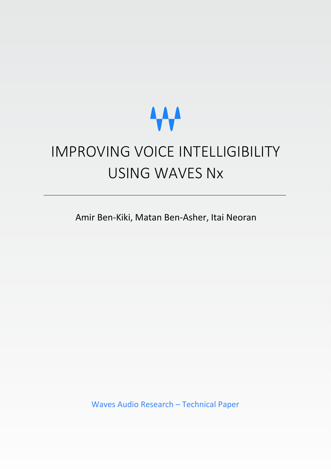# **AAA**

# IMPROVING VOICE INTELLIGIBILITY USING WAVES Nx

Amir Ben-Kiki, Matan Ben-Asher, Itai Neoran

Waves Audio Research – Technical Paper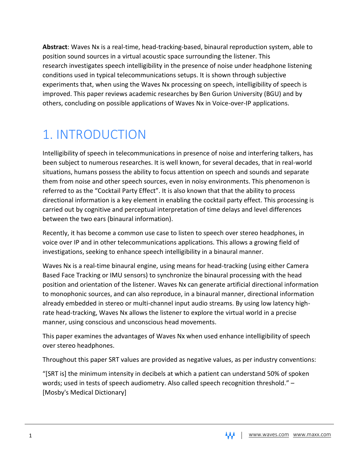**Abstract**: Waves Nx is a real-time, head-tracking-based, binaural reproduction system, able to position sound sources in a virtual acoustic space surrounding the listener. This research investigates speech intelligibility in the presence of noise under headphone listening conditions used in typical telecommunications setups. It is shown through subjective experiments that, when using the Waves Nx processing on speech, intelligibility of speech is improved. This paper reviews academic researches by Ben Gurion University (BGU) and by others, concluding on possible applications of Waves Nx in Voice-over-IP applications.

# 1. INTRODUCTION

Intelligibility of speech in telecommunications in presence of noise and interfering talkers, has been subject to numerous researches. It is well known, for several decades, that in real-world situations, humans possess the ability to focus attention on speech and sounds and separate them from noise and other speech sources, even in noisy environments. This phenomenon is referred to as the "Cocktail Party Effect". It is also known that that the ability to process directional information is a key element in enabling the cocktail party effect. This processing is carried out by cognitive and perceptual interpretation of time delays and level differences between the two ears (binaural information).

Recently, it has become a common use case to listen to speech over stereo headphones, in voice over IP and in other telecommunications applications. This allows a growing field of investigations, seeking to enhance speech intelligibility in a binaural manner.

Waves Nx is a real-time binaural engine, using means for head-tracking (using either Camera Based Face Tracking or IMU sensors) to synchronize the binaural processing with the head position and orientation of the listener. Waves Nx can generate artificial directional information to monophonic sources, and can also reproduce, in a binaural manner, directional information already embedded in stereo or multi-channel input audio streams. By using low latency highrate head-tracking, Waves Nx allows the listener to explore the virtual world in a precise manner, using conscious and unconscious head movements.

This paper examines the advantages of Waves Nx when used enhance intelligibility of speech over stereo headphones.

Throughout this paper SRT values are provided as negative values, as per industry conventions:

"[SRT is] the minimum intensity in decibels at which a patient can understand 50% of spoken words; used in tests of speech audiometry. Also called speech recognition threshold." – [Mosby's Medical Dictionary]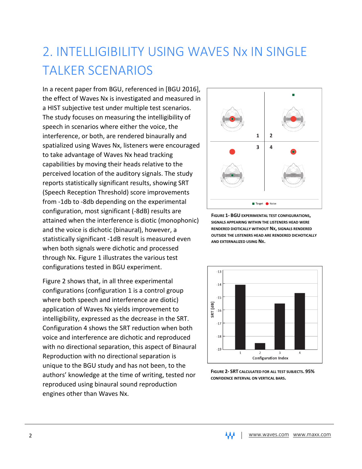# 2. INTELLIGIBILITY USING WAVES Nx IN SINGLE TALKER SCENARIOS

In a recent paper from BGU, referenced in [BGU 2016], the effect of Waves Nx is investigated and measured in a HIST subjective test under multiple test scenarios. The study focuses on measuring the intelligibility of speech in scenarios where either the voice, the interference, or both, are rendered binaurally and spatialized using Waves Nx, listeners were encouraged to take advantage of Waves Nx head tracking capabilities by moving their heads relative to the perceived location of the auditory signals. The study reports statistically significant results, showing SRT (Speech Reception Threshold) score improvements from -1db to -8db depending on the experimental configuration, most significant (-8dB) results are attained when the interference is diotic (monophonic) and the voice is dichotic (binaural), however, a statistically significant -1dB result is measured even when both signals were dichotic and processed through Nx. Figure 1 illustrates the various test configurations tested in BGU experiment.

Figure 2 shows that, in all three experimental configurations (configuration 1 is a control group where both speech and interference are diotic) application of Waves Nx yields improvement to intelligibility, expressed as the decrease in the SRT. Configuration 4 shows the SRT reduction when both voice and interference are dichotic and reproduced with no directional separation, this aspect of Binaural Reproduction with no directional separation is unique to the BGU study and has not been, to the authors' knowledge at the time of writing, tested nor reproduced using binaural sound reproduction engines other than Waves Nx.



**FIGURE 1- BGU EXPERIMENTAL TEST CONFIGURATIONS, SIGNALS APPEARING WITHIN THE LISTENERS HEAD WERE RENDERED DIOTICALLY WITHOUT NX, SIGNALS RENDERED OUTSIDE THE LISTENERS HEAD ARE RENDERED DICHOTICALLY AND EXTERNALIZED USING NX.**



**FIGURE 2- SRT CALCULATED FOR ALL TEST SUBJECTS. 95% CONFIDENCE INTERVAL ON VERTICAL BARS.**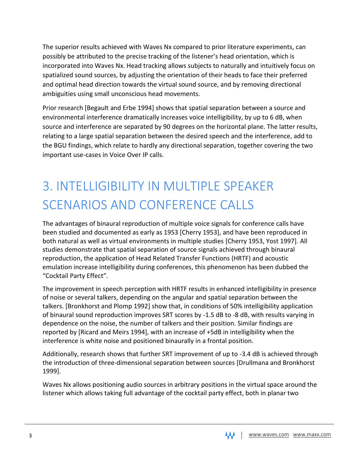The superior results achieved with Waves Nx compared to prior literature experiments, can possibly be attributed to the precise tracking of the listener's head orientation, which is incorporated into Waves Nx. Head tracking allows subjects to naturally and intuitively focus on spatialized sound sources, by adjusting the orientation of their heads to face their preferred and optimal head direction towards the virtual sound source, and by removing directional ambiguities using small unconscious head movements.

Prior research [Begault and Erbe 1994] shows that spatial separation between a source and environmental interference dramatically increases voice intelligibility, by up to 6 dB, when source and interference are separated by 90 degrees on the horizontal plane. The latter results, relating to a large spatial separation between the desired speech and the interference, add to the BGU findings, which relate to hardly any directional separation, together covering the two important use-cases in Voice Over IP calls.

# 3. INTELLIGIBILITY IN MULTIPLE SPEAKER SCENARIOS AND CONFERENCE CALLS

The advantages of binaural reproduction of multiple voice signals for conference calls have been studied and documented as early as 1953 [Cherry 1953], and have been reproduced in both natural as well as virtual environments in multiple studies [Cherry 1953, Yost 1997]. All studies demonstrate that spatial separation of source signals achieved through binaural reproduction, the application of Head Related Transfer Functions (HRTF) and acoustic emulation increase intelligibility during conferences, this phenomenon has been dubbed the "Cocktail Party Effect".

The improvement in speech perception with HRTF results in enhanced intelligibility in presence of noise or several talkers, depending on the angular and spatial separation between the talkers. [Bronkhorst and Plomp 1992] show that, in conditions of 50% intelligibility application of binaural sound reproduction improves SRT scores by -1.5 dB to -8 dB, with results varying in dependence on the noise, the number of talkers and their position. Similar findings are reported by [Ricard and Meirs 1994], with an increase of +5dB in intelligibility when the interference is white noise and positioned binaurally in a frontal position.

Additionally, research shows that further SRT improvement of up to -3.4 dB is achieved through the introduction of three-dimensional separation between sources [Drullmana and Bronkhorst 1999].

Waves Nx allows positioning audio sources in arbitrary positions in the virtual space around the listener which allows taking full advantage of the cocktail party effect, both in planar two

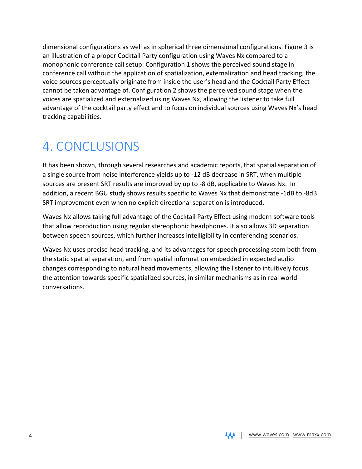dimensional configurations as well as in spherical three dimensional configurations. Figure 3 is an illustration of a proper Cocktail Party configuration using Waves Nx compared to a monophonic conference call setup: Configuration 1 shows the perceived sound stage in conference call without the application of spatialization, externalization and head tracking; the voice sources perceptually originate from inside the user's head and the Cocktail Party Effect cannot be taken advantage of. Configuration 2 shows the perceived sound stage when the voices are spatialized and externalized using Waves Nx, allowing the listener to take full advantage of the cocktail party effect and to focus on individual sources using Waves Nx's head tracking capabilities.

#### 4. CONCLUSIONS

It has been shown, through several researches and academic reports, that spatial separation of a single source from noise interference yields up to -12 dB decrease in SRT, when multiple sources are present SRT results are improved by up to -8 dB, applicable to Waves Nx. In addition, a recent BGU study shows results specific to Waves Nx that demonstrate -1dB to -8dB SRT improvement even when no explicit directional separation is introduced.

Waves Nx allows taking full advantage of the Cocktail Party Effect using modern software tools that allow reproduction using regular stereophonic headphones. It also allows 3D separation between speech sources, which further increases intelligibility in conferencing scenarios.

Waves Nx uses precise head tracking, and its advantages for speech processing stem both from the static spatial separation, and from spatial information embedded in expected audio changes corresponding to natural head movements, allowing the listener to intuitively focus the attention towards specific spatialized sources, in similar mechanisms as in real world conversations.